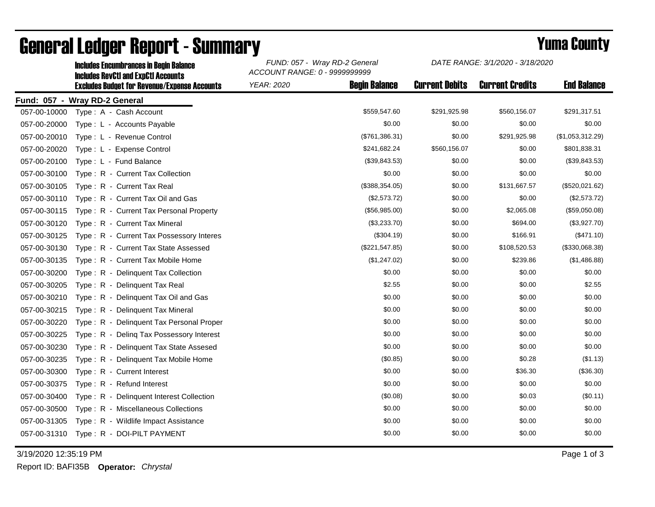|              | <b>Includes Encumbrances in Begin Balance</b>                                                     | FUND: 057 - Wray RD-2 General<br>ACCOUNT RANGE: 0 - 9999999999 |                      | DATE RANGE: 3/1/2020 - 3/18/2020 |                        |                    |
|--------------|---------------------------------------------------------------------------------------------------|----------------------------------------------------------------|----------------------|----------------------------------|------------------------|--------------------|
|              | <b>Includes RevCtI and ExpCtI Accounts</b><br><b>Excludes Budget for Revenue/Expense Accounts</b> | YEAR: 2020                                                     | <b>Begin Balance</b> | <b>Current Debits</b>            | <b>Current Credits</b> | <b>End Balance</b> |
|              | Fund: 057 - Wray RD-2 General                                                                     |                                                                |                      |                                  |                        |                    |
| 057-00-10000 | Type: A - Cash Account                                                                            |                                                                | \$559,547.60         | \$291,925.98                     | \$560,156.07           | \$291,317.51       |
| 057-00-20000 | Type: L - Accounts Payable                                                                        |                                                                | \$0.00               | \$0.00                           | \$0.00                 | \$0.00             |
| 057-00-20010 | Type: L - Revenue Control                                                                         |                                                                | (\$761,386.31)       | \$0.00                           | \$291,925.98           | (\$1,053,312.29)   |
| 057-00-20020 | Type: L - Expense Control                                                                         |                                                                | \$241,682.24         | \$560,156.07                     | \$0.00                 | \$801,838.31       |
| 057-00-20100 | Type: L - Fund Balance                                                                            |                                                                | (\$39,843.53)        | \$0.00                           | \$0.00                 | (\$39,843.53)      |
| 057-00-30100 | Type: R - Current Tax Collection                                                                  |                                                                | \$0.00               | \$0.00                           | \$0.00                 | \$0.00             |
| 057-00-30105 | Type: R - Current Tax Real                                                                        |                                                                | (\$388,354.05)       | \$0.00                           | \$131,667.57           | (\$520,021.62)     |
| 057-00-30110 | Type: R - Current Tax Oil and Gas                                                                 |                                                                | (\$2,573.72)         | \$0.00                           | \$0.00                 | (\$2,573.72)       |
| 057-00-30115 | Type: R - Current Tax Personal Property                                                           |                                                                | (\$56,985.00)        | \$0.00                           | \$2,065.08             | (\$59,050.08)      |
| 057-00-30120 | Type: R - Current Tax Mineral                                                                     |                                                                | (\$3,233.70)         | \$0.00                           | \$694.00               | (\$3,927.70)       |
| 057-00-30125 | Type: R - Current Tax Possessory Interes                                                          |                                                                | (\$304.19)           | \$0.00                           | \$166.91               | (\$471.10)         |
| 057-00-30130 | Type: R - Current Tax State Assessed                                                              |                                                                | (\$221,547.85)       | \$0.00                           | \$108,520.53           | (\$330,068.38)     |
| 057-00-30135 | Type: R - Current Tax Mobile Home                                                                 |                                                                | (\$1,247.02)         | \$0.00                           | \$239.86               | (\$1,486.88)       |
| 057-00-30200 | Type: R - Delinquent Tax Collection                                                               |                                                                | \$0.00               | \$0.00                           | \$0.00                 | \$0.00             |
| 057-00-30205 | Type: R - Delinguent Tax Real                                                                     |                                                                | \$2.55               | \$0.00                           | \$0.00                 | \$2.55             |
| 057-00-30210 | Type: R - Delinquent Tax Oil and Gas                                                              |                                                                | \$0.00               | \$0.00                           | \$0.00                 | \$0.00             |
| 057-00-30215 | Type: R - Delinquent Tax Mineral                                                                  |                                                                | \$0.00               | \$0.00                           | \$0.00                 | \$0.00             |
| 057-00-30220 | Type: R - Delinquent Tax Personal Proper                                                          |                                                                | \$0.00               | \$0.00                           | \$0.00                 | \$0.00             |
| 057-00-30225 | Type: R - Deling Tax Possessory Interest                                                          |                                                                | \$0.00               | \$0.00                           | \$0.00                 | \$0.00             |
| 057-00-30230 | Delinquent Tax State Assesed<br>$Type: R -$                                                       |                                                                | \$0.00               | \$0.00                           | \$0.00                 | \$0.00             |
| 057-00-30235 | Type: R - Delinguent Tax Mobile Home                                                              |                                                                | (\$0.85)             | \$0.00                           | \$0.28                 | (\$1.13)           |
| 057-00-30300 | Type: R - Current Interest                                                                        |                                                                | \$0.00               | \$0.00                           | \$36.30                | (\$36.30)          |
| 057-00-30375 | Type: R - Refund Interest                                                                         |                                                                | \$0.00               | \$0.00                           | \$0.00                 | \$0.00             |
| 057-00-30400 | Type: R - Delinquent Interest Collection                                                          |                                                                | (\$0.08)             | \$0.00                           | \$0.03                 | (\$0.11)           |
| 057-00-30500 | Type: R - Miscellaneous Collections                                                               |                                                                | \$0.00               | \$0.00                           | \$0.00                 | \$0.00             |
| 057-00-31305 | Type: R - Wildlife Impact Assistance                                                              |                                                                | \$0.00               | \$0.00                           | \$0.00                 | \$0.00             |
| 057-00-31310 | Type: R - DOI-PILT PAYMENT                                                                        |                                                                | \$0.00               | \$0.00                           | \$0.00                 | \$0.00             |
|              |                                                                                                   |                                                                |                      |                                  |                        |                    |

## General Ledger Report - Summary<br>
FUND: 057 - Wray RD-2 General DATE RANGE: 3/1/2020 - 3/18/2020

3/19/2020 12:35:19 PM Page 1 of 3

Report ID: BAFI35B **Operator:** *Chrystal*

*DATE RANGE: 3/1/2020 - 3/18/2020*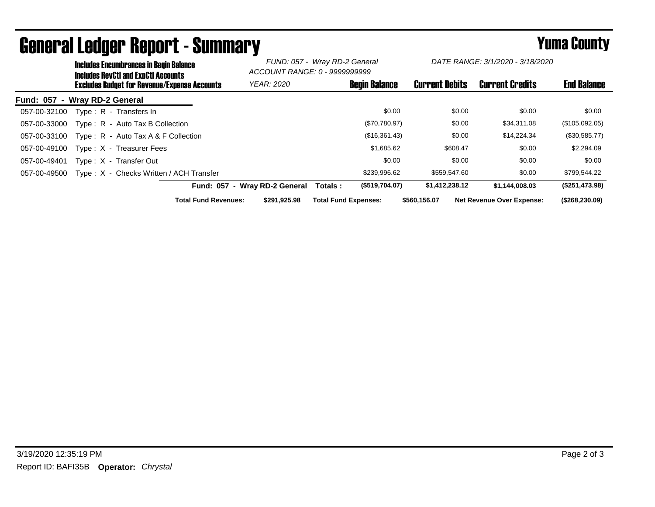|                               | <b>Includes Encumbrances in Begin Balance</b><br><b>Includes RevCtI and ExpCtI Accounts</b><br><b>Excludes Budget for Revenue/Expense Accounts</b> |                                         | FUND: 057 - Wray RD-2 General<br>ACCOUNT RANGE: 0 - 9999999999 |                               | DATE RANGE: 3/1/2020 - 3/18/2020 |                       |                        |                                  |                 |
|-------------------------------|----------------------------------------------------------------------------------------------------------------------------------------------------|-----------------------------------------|----------------------------------------------------------------|-------------------------------|----------------------------------|-----------------------|------------------------|----------------------------------|-----------------|
|                               |                                                                                                                                                    |                                         | <b>YEAR: 2020</b>                                              |                               | <b>Begin Balance</b>             | <b>Current Debits</b> | <b>Current Credits</b> | <b>End Balance</b>               |                 |
| Fund: 057 - Wray RD-2 General |                                                                                                                                                    |                                         |                                                                |                               |                                  |                       |                        |                                  |                 |
| 057-00-32100                  |                                                                                                                                                    | Type: R - Transfers In                  |                                                                |                               |                                  | \$0.00                | \$0.00                 | \$0.00                           | \$0.00          |
| 057-00-33000                  |                                                                                                                                                    | Type: R - Auto Tax B Collection         |                                                                |                               |                                  | (\$70,780.97)         | \$0.00                 | \$34,311.08                      | (\$105,092.05)  |
| 057-00-33100                  |                                                                                                                                                    | Type: R - Auto Tax A & F Collection     |                                                                |                               |                                  | (\$16,361.43)         | \$0.00                 | \$14,224.34                      | $(\$30,585.77)$ |
| 057-00-49100                  |                                                                                                                                                    | Type: X - Treasurer Fees                |                                                                |                               |                                  | \$1,685.62            | \$608.47               | \$0.00                           | \$2,294.09      |
| 057-00-49401                  |                                                                                                                                                    | Type: X - Transfer Out                  |                                                                |                               |                                  | \$0.00                | \$0.00                 | \$0.00                           | \$0.00          |
| 057-00-49500                  |                                                                                                                                                    | Type: X - Checks Written / ACH Transfer |                                                                |                               |                                  | \$239,996.62          | \$559,547.60           | \$0.00                           | \$799,544.22    |
|                               |                                                                                                                                                    |                                         |                                                                | Fund: 057 - Wray RD-2 General | Totals :                         | (\$519,704.07)        | \$1,412,238.12         | \$1,144,008.03                   | (\$251,473.98)  |
|                               |                                                                                                                                                    |                                         | <b>Total Fund Revenues:</b>                                    | \$291.925.98                  | <b>Total Fund Expenses:</b>      |                       | \$560.156.07           | <b>Net Revenue Over Expense:</b> | (\$268,230.09)  |

## General Ledger Report - Summary **Seneral Ledger Report - Summary**